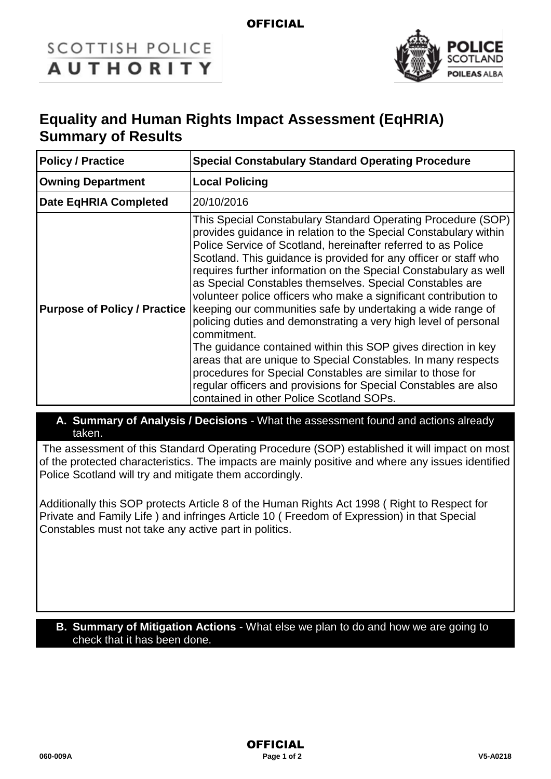## **OFFICIAL**

# **SCOTTISH POLICE AUTHORITY**



# **Equality and Human Rights Impact Assessment (EqHRIA) Summary of Results**

| <b>Policy / Practice</b>            | <b>Special Constabulary Standard Operating Procedure</b>                                                                                                                                                                                                                                                                                                                                                                                                                                                                                                                                                                                                                                                                                                                                                                                                                                                                                  |  |
|-------------------------------------|-------------------------------------------------------------------------------------------------------------------------------------------------------------------------------------------------------------------------------------------------------------------------------------------------------------------------------------------------------------------------------------------------------------------------------------------------------------------------------------------------------------------------------------------------------------------------------------------------------------------------------------------------------------------------------------------------------------------------------------------------------------------------------------------------------------------------------------------------------------------------------------------------------------------------------------------|--|
| <b>Owning Department</b>            | <b>Local Policing</b>                                                                                                                                                                                                                                                                                                                                                                                                                                                                                                                                                                                                                                                                                                                                                                                                                                                                                                                     |  |
| Date EqHRIA Completed               | 20/10/2016                                                                                                                                                                                                                                                                                                                                                                                                                                                                                                                                                                                                                                                                                                                                                                                                                                                                                                                                |  |
| <b>Purpose of Policy / Practice</b> | This Special Constabulary Standard Operating Procedure (SOP)<br>provides guidance in relation to the Special Constabulary within<br>Police Service of Scotland, hereinafter referred to as Police<br>Scotland. This guidance is provided for any officer or staff who<br>requires further information on the Special Constabulary as well<br>as Special Constables themselves. Special Constables are<br>volunteer police officers who make a significant contribution to<br>keeping our communities safe by undertaking a wide range of<br>policing duties and demonstrating a very high level of personal<br>commitment.<br>The guidance contained within this SOP gives direction in key<br>areas that are unique to Special Constables. In many respects<br>procedures for Special Constables are similar to those for<br>regular officers and provisions for Special Constables are also<br>contained in other Police Scotland SOPs. |  |

#### **A. Summary of Analysis / Decisions** - What the assessment found and actions already taken.

The assessment of this Standard Operating Procedure (SOP) established it will impact on most of the protected characteristics. The impacts are mainly positive and where any issues identified Police Scotland will try and mitigate them accordingly.

Additionally this SOP protects Article 8 of the Human Rights Act 1998 ( Right to Respect for Private and Family Life ) and infringes Article 10 ( Freedom of Expression) in that Special Constables must not take any active part in politics.

#### **B. Summary of Mitigation Actions** - What else we plan to do and how we are going to check that it has been done.